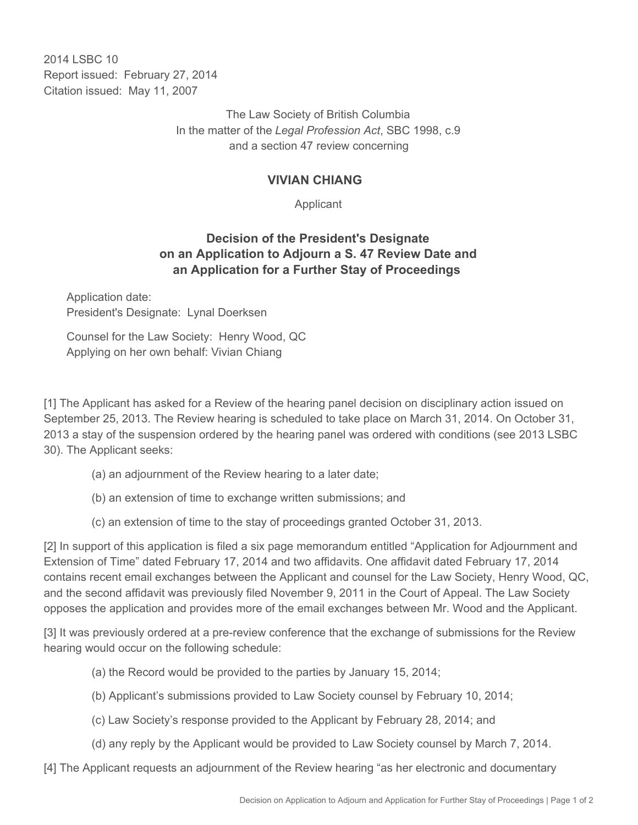2014 I SBC 10 Report issued: February 27, 2014 Citation issued: May 11, 2007

> The Law Society of British Columbia In the matter of the *Legal Profession Act*, SBC 1998, c.9 and a section 47 review concerning

## **VIVIAN CHIANG**

Applicant

## **Decision of the President's Designate on an Application to Adjourn a S. 47 Review Date and an Application for a Further Stay of Proceedings**

Application date: President's Designate: Lynal Doerksen

Counsel for the Law Society: Henry Wood, QC Applying on her own behalf: Vivian Chiang

[1] The Applicant has asked for a Review of the hearing panel decision on disciplinary action issued on September 25, 2013. The Review hearing is scheduled to take place on March 31, 2014. On October 31, 2013 a stay of the suspension ordered by the hearing panel was ordered with conditions (see 2013 LSBC 30). The Applicant seeks:

- (a) an adjournment of the Review hearing to a later date;
- (b) an extension of time to exchange written submissions; and
- (c) an extension of time to the stay of proceedings granted October 31, 2013.

[2] In support of this application is filed a six page memorandum entitled "Application for Adjournment and Extension of Time" dated February 17, 2014 and two affidavits. One affidavit dated February 17, 2014 contains recent email exchanges between the Applicant and counsel for the Law Society, Henry Wood, QC, and the second affidavit was previously filed November 9, 2011 in the Court of Appeal. The Law Society opposes the application and provides more of the email exchanges between Mr. Wood and the Applicant.

[3] It was previously ordered at a pre-review conference that the exchange of submissions for the Review hearing would occur on the following schedule:

- (a) the Record would be provided to the parties by January 15, 2014;
- (b) Applicant's submissions provided to Law Society counsel by February 10, 2014;
- (c) Law Society's response provided to the Applicant by February 28, 2014; and
- (d) any reply by the Applicant would be provided to Law Society counsel by March 7, 2014.

[4] The Applicant requests an adjournment of the Review hearing "as her electronic and documentary